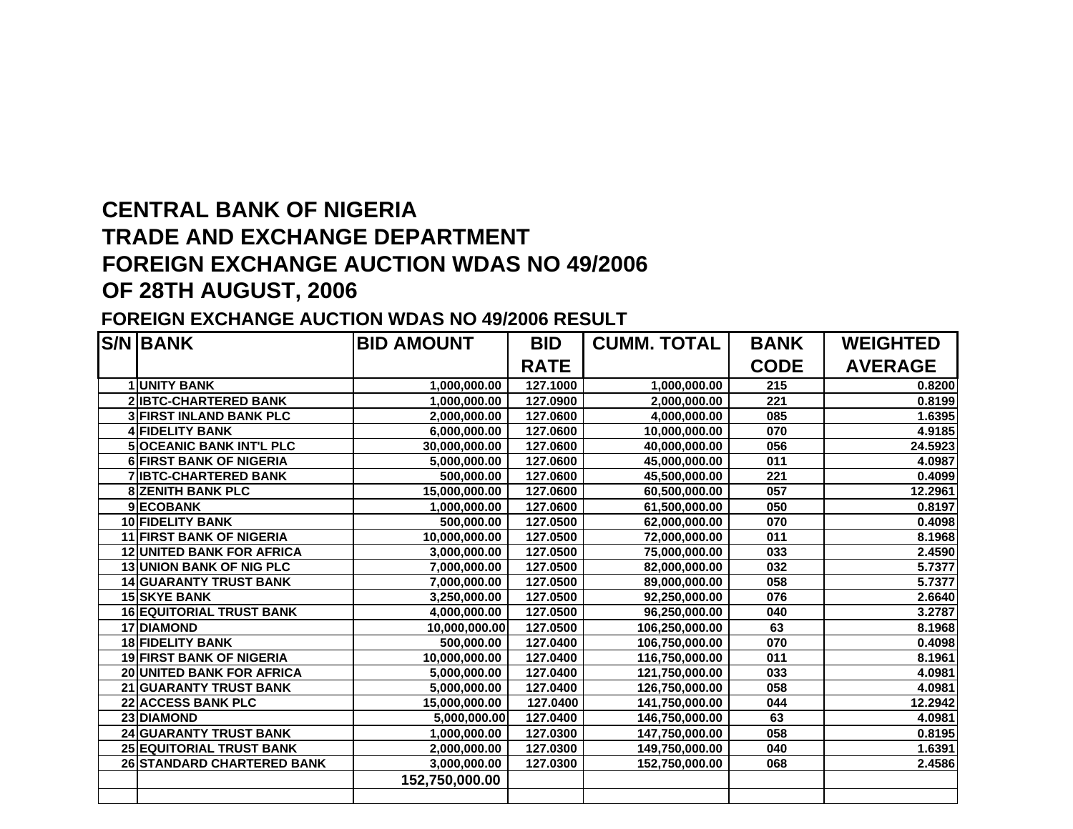## **CENTRAL BANK OF NIGERIA TRADE AND EXCHANGE DEPARTMENT FOREIGN EXCHANGE AUCTION WDAS NO 49/2006 OF 28TH AUGUST, 2006**

## **FOREIGN EXCHANGE AUCTION WDAS NO 49/2006 RESULT**

|    | <b>S/N BANK</b>                 | <b>BID AMOUNT</b> | <b>BID</b>  | <b>CUMM. TOTAL</b> | <b>BANK</b> | <b>WEIGHTED</b> |
|----|---------------------------------|-------------------|-------------|--------------------|-------------|-----------------|
|    |                                 |                   | <b>RATE</b> |                    | <b>CODE</b> | <b>AVERAGE</b>  |
|    | <b>1 UNITY BANK</b>             | 1,000,000.00      | 127.1000    | 1,000,000.00       | 215         | 0.8200          |
|    | <b>2 IBTC-CHARTERED BANK</b>    | 1,000,000.00      | 127.0900    | 2,000,000.00       | 221         | 0.8199          |
|    | <b>3 FIRST INLAND BANK PLC</b>  | 2,000,000.00      | 127.0600    | 4,000,000.00       | 085         | 1.6395          |
| 4  | <b>FIDELITY BANK</b>            | 6,000,000.00      | 127.0600    | 10,000,000.00      | 070         | 4.9185          |
| 5  | <b>OCEANIC BANK INT'L PLC</b>   | 30,000,000.00     | 127.0600    | 40,000,000.00      | 056         | 24.5923         |
|    | <b>6 FIRST BANK OF NIGERIA</b>  | 5,000,000.00      | 127.0600    | 45,000,000.00      | 011         | 4.0987          |
|    | <b>7 IBTC-CHARTERED BANK</b>    | 500,000.00        | 127.0600    | 45,500,000.00      | 221         | 0.4099          |
| 8  | <b>ZENITH BANK PLC</b>          | 15,000,000.00     | 127.0600    | 60,500,000.00      | 057         | 12.2961         |
|    | 9ECOBANK                        | 1,000,000.00      | 127.0600    | 61,500,000.00      | 050         | 0.8197          |
|    | <b>10 FIDELITY BANK</b>         | 500,000.00        | 127.0500    | 62,000,000.00      | 070         | 0.4098          |
|    | <b>11 FIRST BANK OF NIGERIA</b> | 10,000,000.00     | 127.0500    | 72,000,000.00      | 011         | 8.1968          |
| 12 | <b>UNITED BANK FOR AFRICA</b>   | 3,000,000.00      | 127.0500    | 75,000,000.00      | 033         | 2.4590          |
| 13 | <b>UNION BANK OF NIG PLC</b>    | 7,000,000.00      | 127.0500    | 82,000,000.00      | 032         | 5.7377          |
|    | <b>14 GUARANTY TRUST BANK</b>   | 7,000,000.00      | 127.0500    | 89,000,000.00      | 058         | 5.7377          |
|    | <b>15 SKYE BANK</b>             | 3,250,000.00      | 127.0500    | 92,250,000.00      | 076         | 2.6640          |
|    | <b>16 EQUITORIAL TRUST BANK</b> | 4,000,000.00      | 127.0500    | 96,250,000.00      | 040         | 3.2787          |
|    | 17 DIAMOND                      | 10,000,000.00     | 127.0500    | 106,250,000.00     | 63          | 8.1968          |
|    | <b>18 FIDELITY BANK</b>         | 500,000.00        | 127.0400    | 106,750,000.00     | 070         | 0.4098          |
| 19 | <b>FIRST BANK OF NIGERIA</b>    | 10,000,000.00     | 127.0400    | 116,750,000.00     | 011         | 8.1961          |
| 20 | UNITED BANK FOR AFRICA          | 5,000,000.00      | 127.0400    | 121,750,000.00     | 033         | 4.0981          |
|    | 21 GUARANTY TRUST BANK          | 5,000,000.00      | 127.0400    | 126,750,000.00     | 058         | 4.0981          |
|    | 22 ACCESS BANK PLC              | 15,000,000.00     | 127.0400    | 141,750,000.00     | 044         | 12.2942         |
|    | 23 DIAMOND                      | 5,000,000.00      | 127.0400    | 146,750,000.00     | 63          | 4.0981          |
|    | <b>24 GUARANTY TRUST BANK</b>   | 1,000,000.00      | 127.0300    | 147,750,000.00     | 058         | 0.8195          |
|    | <b>25 EQUITORIAL TRUST BANK</b> | 2,000,000.00      | 127.0300    | 149,750,000.00     | 040         | 1.6391          |
|    | 26 STANDARD CHARTERED BANK      | 3,000,000.00      | 127.0300    | 152,750,000.00     | 068         | 2.4586          |
|    |                                 | 152,750,000.00    |             |                    |             |                 |
|    |                                 |                   |             |                    |             |                 |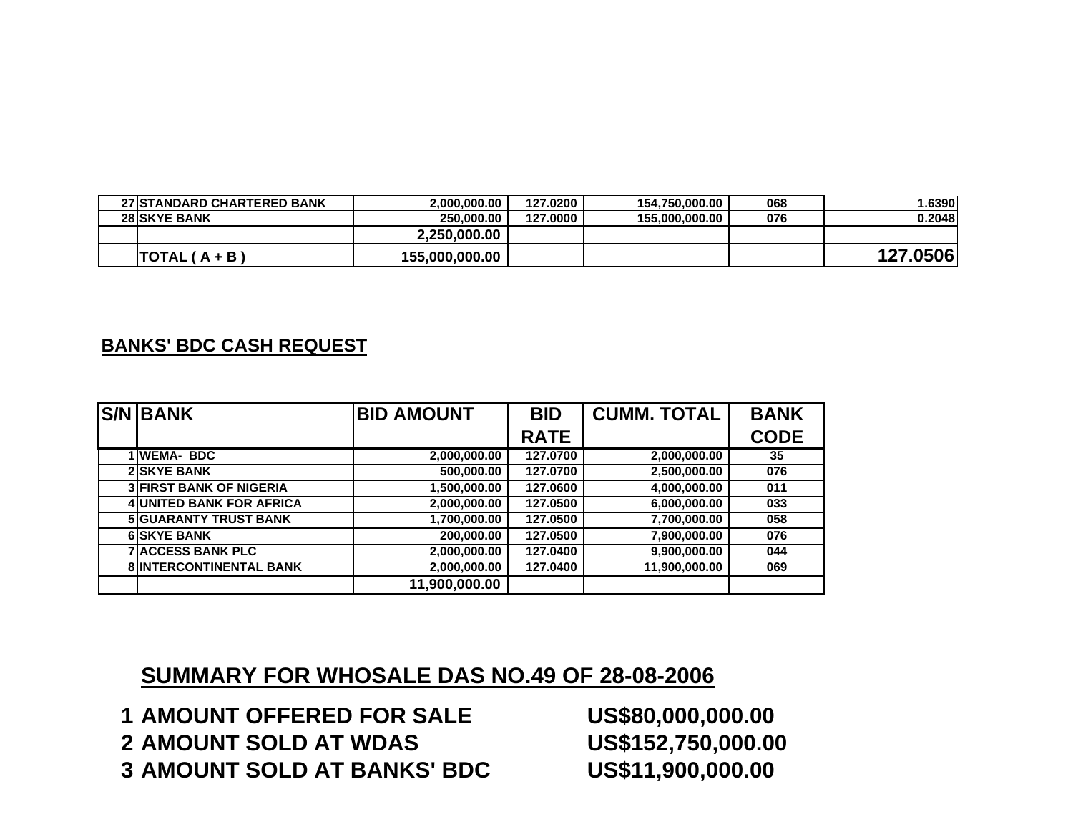| <b>27 STANDARD CHARTERED BANK</b> | 2.000.000.00   | 127.0200 | 154.750.000.00 | 068 | .6390    |
|-----------------------------------|----------------|----------|----------------|-----|----------|
| <b>28 SKYE BANK</b>               | 250.000.00     | 127.0000 | 155.000.000.00 | 076 | 0.2048   |
|                                   | 2,250,000.00   |          |                |     |          |
| TOTAL ( A + B )                   | 155,000,000.00 |          |                |     | 127.0506 |

## **BANKS' BDC CASH REQUEST**

| <b>S/N BANK</b>                 | <b>BID AMOUNT</b> | <b>BID</b>  | <b>CUMM. TOTAL</b> | <b>BANK</b> |
|---------------------------------|-------------------|-------------|--------------------|-------------|
|                                 |                   | <b>RATE</b> |                    | <b>CODE</b> |
| 1 WEMA- BDC                     | 2,000,000.00      | 127.0700    | 2,000,000.00       | 35          |
| <b>2 SKYE BANK</b>              | 500,000.00        | 127.0700    | 2,500,000.00       | 076         |
| <b>3 FIRST BANK OF NIGERIA</b>  | 1,500,000.00      | 127.0600    | 4,000,000.00       | 011         |
| <b>4 UNITED BANK FOR AFRICA</b> | 2,000,000.00      | 127.0500    | 6,000,000.00       | 033         |
| <b>5 GUARANTY TRUST BANK</b>    | 1,700,000.00      | 127.0500    | 7,700,000.00       | 058         |
| <b>6 SKYE BANK</b>              | 200,000.00        | 127.0500    | 7,900,000.00       | 076         |
| <b>7 ACCESS BANK PLC</b>        | 2,000,000.00      | 127.0400    | 9,900,000.00       | 044         |
| <b>8 INTERCONTINENTAL BANK</b>  | 2,000,000.00      | 127.0400    | 11,900,000.00      | 069         |
|                                 | 11,900,000.00     |             |                    |             |

## **SUMMARY FOR WHOSALE DAS NO.49 OF 28-08-2006**

 **AMOUNT OFFERED FOR SALE US\$80,000,000.00 AMOUNT SOLD AT WDAS US\$152,750,000.00 AMOUNT SOLD AT BANKS' BDC US\$11,900,000.00**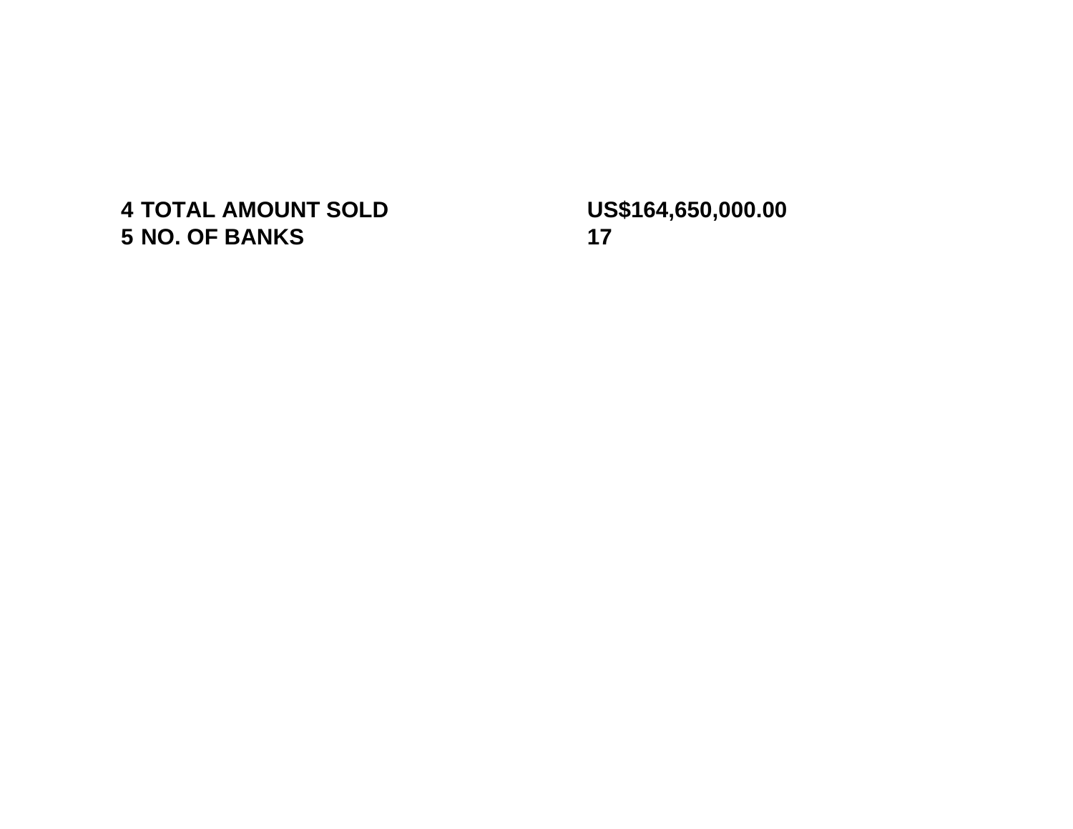**TOTAL AMOUNT SOLD US\$164,650,000.00 NO. OF BANKS 17**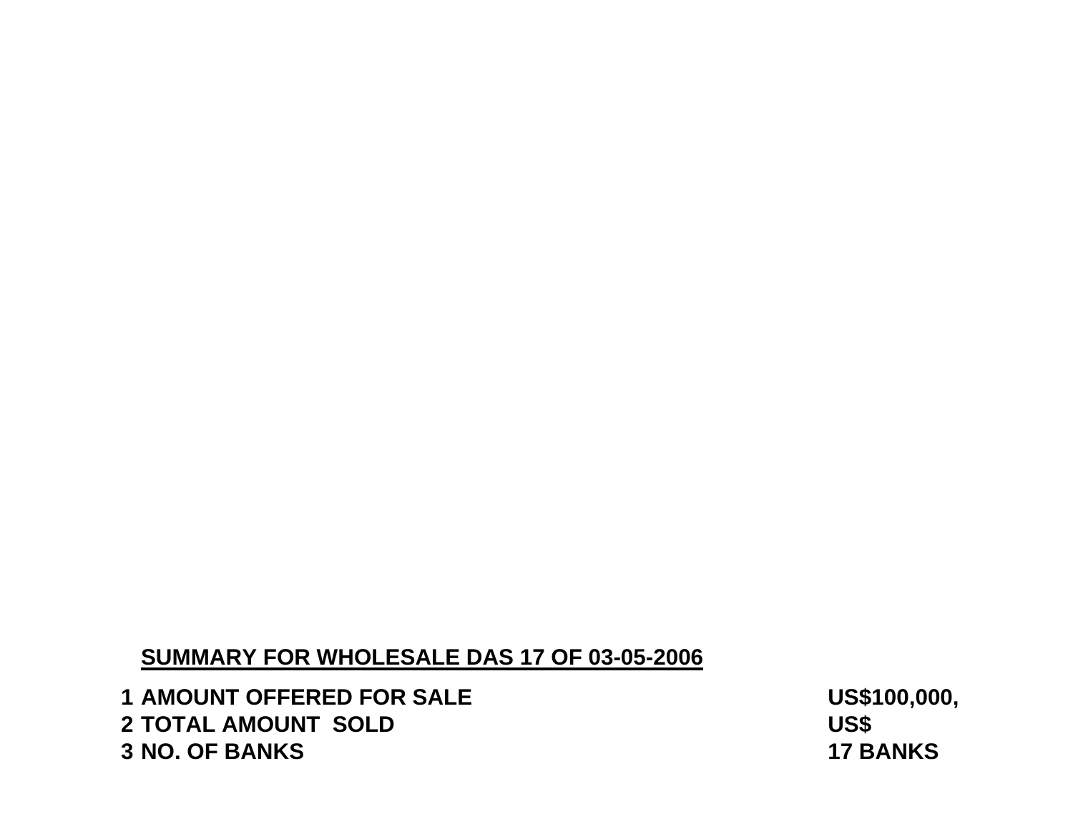## **SUMMARY FOR WHOLESALE DAS 17 OF 03-05-2006**

 **AMOUNT OFFERED FOR SALE US\$100,000,000.00 TOTAL AMOUNT SOLD US\$ NO. OF BANKS 17 BANKS**